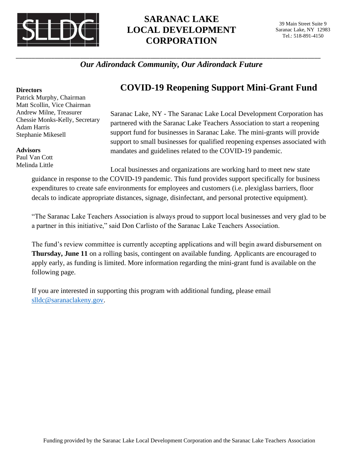

# **SARANAC LAKE LOCAL DEVELOPMENT CORPORATION**

#### \_\_\_\_\_\_\_\_\_\_\_\_\_\_\_\_\_\_\_\_\_\_\_\_\_\_\_\_\_\_\_\_\_\_\_\_\_\_\_\_\_\_\_\_\_\_\_\_\_\_\_\_\_\_\_\_\_\_\_\_\_\_\_\_\_\_\_\_\_\_\_\_\_\_\_\_\_\_\_\_\_\_\_\_\_\_\_\_\_\_\_\_\_\_\_ *Our Adirondack Community, Our Adirondack Future*

#### **Directors**

Patrick Murphy, Chairman Matt Scollin, Vice Chairman Andrew Milne, Treasurer Chessie Monks-Kelly, Secretary Adam Harris Stephanie Mikesell

#### **Advisors**

Paul Van Cott Melinda Little

## **COVID-19 Reopening Support Mini-Grant Fund**

Saranac Lake, NY - The Saranac Lake Local Development Corporation has partnered with the Saranac Lake Teachers Association to start a reopening support fund for businesses in Saranac Lake. The mini-grants will provide support to small businesses for qualified reopening expenses associated with mandates and guidelines related to the COVID-19 pandemic.

Local businesses and organizations are working hard to meet new state guidance in response to the COVID-19 pandemic. This fund provides support specifically for business expenditures to create safe environments for employees and customers (i.e. plexiglass barriers, floor decals to indicate appropriate distances, signage, disinfectant, and personal protective equipment).

"The Saranac Lake Teachers Association is always proud to support local businesses and very glad to be a partner in this initiative," said Don Carlisto of the Saranac Lake Teachers Association.

The fund's review committee is currently accepting applications and will begin award disbursement on **Thursday, June 11** on a rolling basis, contingent on available funding. Applicants are encouraged to apply early, as funding is limited. More information regarding the mini-grant fund is available on the following page.

If you are interested in supporting this program with additional funding, please email [slldc@saranaclakeny.gov.](mailto:slldc@saranaclakeny.gov)